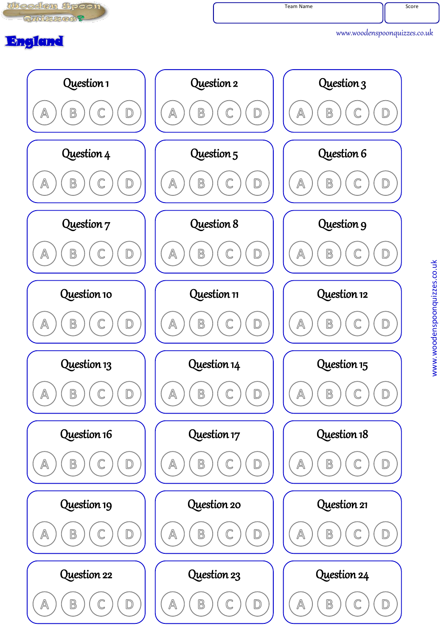

www.woodenspoonquizzes.co.uk

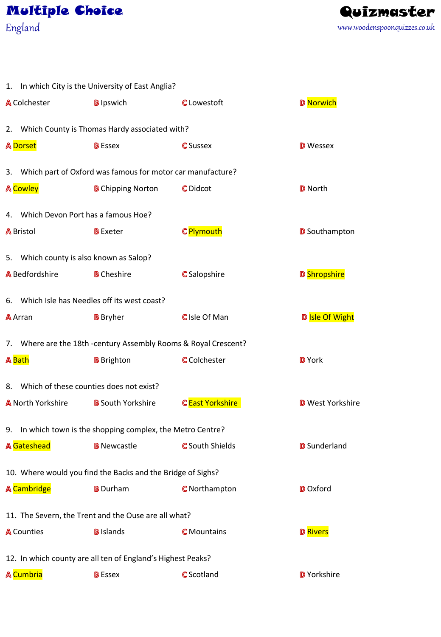## Multiple Choice

England www.woodenspoonquizzes.co.uk Quizmaster

|                          | 1. In which City is the University of East Anglia?              |                        |                         |
|--------------------------|-----------------------------------------------------------------|------------------------|-------------------------|
| <b>A</b> Colchester      | <b>B</b> Ipswich                                                | <b>C</b> Lowestoft     | <b>D</b> Norwich        |
|                          | 2. Which County is Thomas Hardy associated with?                |                        |                         |
| <b>A</b> Dorset          | <b>B</b> Essex                                                  | <b>C</b> Sussex        | <b>D</b> Wessex         |
|                          | 3. Which part of Oxford was famous for motor car manufacture?   |                        |                         |
| <b>A</b> Cowley          | <b>B</b> Chipping Norton                                        | C Didcot               | <b>D</b> North          |
|                          | 4. Which Devon Port has a famous Hoe?                           |                        |                         |
| <b>A</b> Bristol         | <b>B</b> Exeter                                                 | C Plymouth             | <b>D</b> Southampton    |
|                          | 5. Which county is also known as Salop?                         |                        |                         |
| <b>A</b> Bedfordshire    | <b>B</b> Cheshire                                               | <b>C</b> Salopshire    | <b>D</b> Shropshire     |
|                          | 6. Which Isle has Needles off its west coast?                   |                        |                         |
| A Arran                  | <b>B</b> Bryher                                                 | C Isle Of Man          | D Isle Of Wight         |
|                          | 7. Where are the 18th -century Assembly Rooms & Royal Crescent? |                        |                         |
| <b>A</b> Bath            | <b>B</b> Brighton                                               | <b>C</b> Colchester    | D York                  |
|                          | 8. Which of these counties does not exist?                      |                        |                         |
| <b>A</b> North Yorkshire | <b>B</b> South Yorkshire                                        | C East Yorkshire       | <b>D</b> West Yorkshire |
|                          | 9. In which town is the shopping complex, the Metro Centre?     |                        |                         |
| A Gateshead              | <b>B</b> Newcastle <b>B</b>                                     | <b>G</b> South Shields | <b>D</b> Sunderland     |
|                          | 10. Where would you find the Backs and the Bridge of Sighs?     |                        |                         |
| <b>A</b> Cambridge       | <b>B</b> Durham                                                 | <b>C</b> Northampton   | <b>D</b> Oxford         |
|                          | 11. The Severn, the Trent and the Ouse are all what?            |                        |                         |
| <b>A</b> Counties        | <b>B</b> Islands                                                | <b>C</b> Mountains     | <b>D</b> Rivers         |
|                          | 12. In which county are all ten of England's Highest Peaks?     |                        |                         |
| A Cumbria                | <b>B</b> Essex                                                  | <b>C</b> Scotland      | D Yorkshire             |